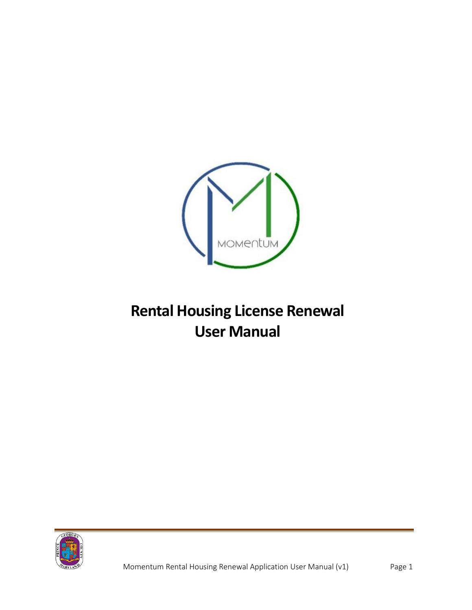

## **Rental Housing License Renewal User Manual**

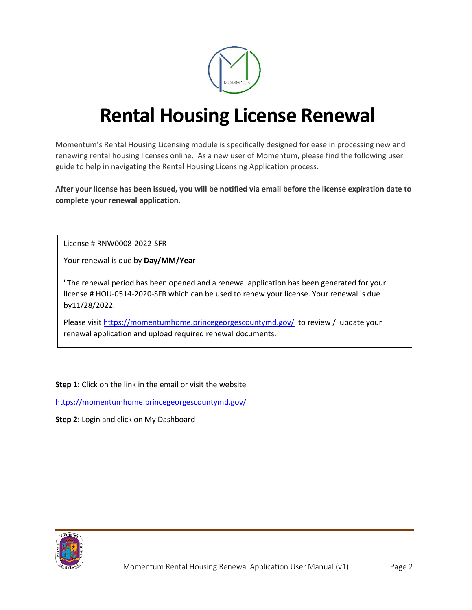

## **Rental Housing License Renewal**

Momentum's Rental Housing Licensing module is specifically designed for ease in processing new and renewing rental housing licenses online. As a new user of Momentum, please find the following user guide to help in navigating the Rental Housing Licensing Application process.

**After your license has been issued, you will be notified via email before the license expiration date to complete your renewal application.**

License # RNW0008-2022-SFR

Your renewal is due by **Day/MM/Year**

"The renewal period has been opened and a renewal application has been generated for your lIcense # HOU-0514-2020-SFR which can be used to renew your license. Your renewal is due by11/28/2022.

Please visit<https://momentumhome.princegeorgescountymd.gov/> to review / update your renewal application and upload required renewal documents.

**Step 1:** Click on the link in the email or visit the website

<https://momentumhome.princegeorgescountymd.gov/>

**Step 2:** Login and click on My Dashboard

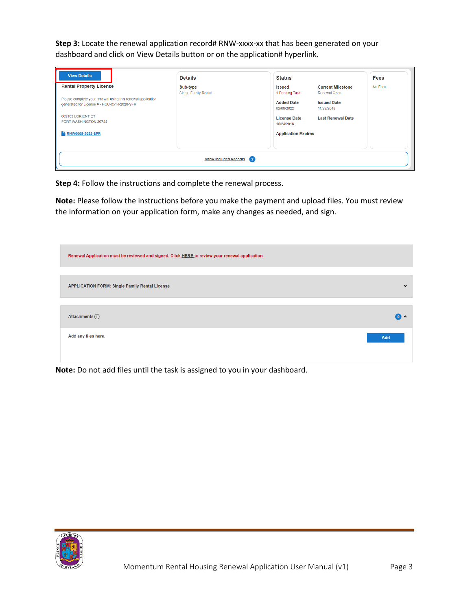**Step 3:** Locate the renewal application record# RNW-xxxx-xx that has been generated on your dashboard and click on View Details button or on the application# hyperlink.

| <b>View Details</b>                                                                                                                                                                        | <b>Details</b>                   | <b>Status</b>                                                                                                                                                                                                       | <b>Fees</b> |
|--------------------------------------------------------------------------------------------------------------------------------------------------------------------------------------------|----------------------------------|---------------------------------------------------------------------------------------------------------------------------------------------------------------------------------------------------------------------|-------------|
| <b>Rental Property License</b><br>Please complete your renewal using this renewal application<br>generated for License #:- HOU-0514-2020-SFR<br>009103 LORIENT CT<br>FORT WASHINGTON 20744 | Sub-type<br>Single Family Rental | <b>Current Milestone</b><br><b>Issued</b><br>1 Pending Task<br>Renewal Open<br><b>Added Date</b><br><b>Issued Date</b><br>11/29/2018<br>02/08/2022<br><b>Last Renewal Date</b><br><b>License Date</b><br>10/24/2018 | No Fees     |
| <b>F</b> RNW0008-2022-SFR                                                                                                                                                                  | Show Included Records 2          | <b>Application Expires</b>                                                                                                                                                                                          |             |

**Step 4:** Follow the instructions and complete the renewal process.

**Note:** Please follow the instructions before you make the payment and upload files. You must review the information on your application form, make any changes as needed, and sign.

| Renewal Application must be reviewed and signed. Click HERE to review your renewal application. |                           |
|-------------------------------------------------------------------------------------------------|---------------------------|
|                                                                                                 |                           |
| <b>APPLICATION FORM: Single Family Rental License</b>                                           | $\checkmark$              |
|                                                                                                 |                           |
| Attachments $(i)$                                                                               | $\mathbf{a}$ $\mathbf{v}$ |
| Add any files here.                                                                             | Add                       |
|                                                                                                 |                           |

**Note:** Do not add files until the task is assigned to you in your dashboard.

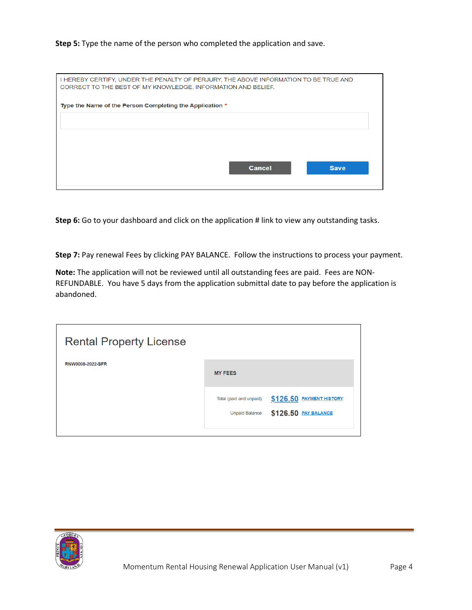## **Step 5:** Type the name of the person who completed the application and save.

| I HEREBY CERTIFY, UNDER THE PENALTY OF PERJURY, THE ABOVE INFORMATION TO BE TRUE AND<br>CORRECT TO THE BEST OF MY KNOWLEDGE, INFORMATION AND BELIEF. |  |
|------------------------------------------------------------------------------------------------------------------------------------------------------|--|
| Type the Name of the Person Completing the Application *                                                                                             |  |
|                                                                                                                                                      |  |
| <b>Cancel</b><br><b>Save</b>                                                                                                                         |  |
|                                                                                                                                                      |  |

**Step 6:** Go to your dashboard and click on the application # link to view any outstanding tasks.

**Step 7:** Pay renewal Fees by clicking PAY BALANCE. Follow the instructions to process your payment.

**Note:** The application will not be reviewed until all outstanding fees are paid. Fees are NON-REFUNDABLE. You have 5 days from the application submittal date to pay before the application is abandoned.

| <b>Rental Property License</b> |                                                  |                                                  |
|--------------------------------|--------------------------------------------------|--------------------------------------------------|
| RNW0008-2022-SFR               | <b>MY FEES</b>                                   |                                                  |
|                                | Total (paid and unpaid)<br><b>Unpaid Balance</b> | \$126.50 PAYMENT HISTORY<br>\$126.50 PAY BALANCE |

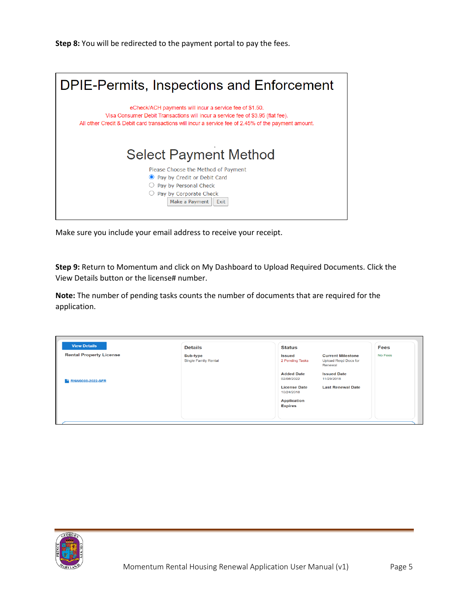**Step 8:** You will be redirected to the payment portal to pay the fees.



Make sure you include your email address to receive your receipt.

**Step 9:** Return to Momentum and click on My Dashboard to Upload Required Documents. Click the View Details button or the license# number.

**Note:** The number of pending tasks counts the number of documents that are required for the application.

| <b>View Details</b>            |                                         |                                                                                                                                            |             |
|--------------------------------|-----------------------------------------|--------------------------------------------------------------------------------------------------------------------------------------------|-------------|
|                                | <b>Details</b>                          | <b>Status</b>                                                                                                                              | <b>Fees</b> |
| <b>Rental Property License</b> | Sub-type<br><b>Single Family Rental</b> | <b>Current Milestone</b><br>Issued<br>2 Pending Tasks<br><b>Upload Regd Docs for</b><br>Renewal<br><b>Added Date</b><br><b>Issued Date</b> | No Fees     |
| <b>E RNW0008-2022-SFR</b>      |                                         | 02/08/2022<br>11/29/2018<br><b>License Date</b><br><b>Last Renewal Date</b><br>10/24/2018                                                  |             |
|                                |                                         | <b>Application</b><br><b>Expires</b>                                                                                                       |             |

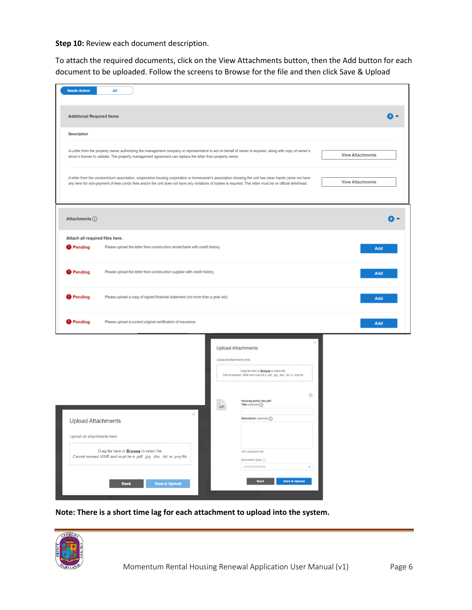Step 10: Review each document description.

To attach the required documents, click on the View Attachments button, then the Add button for each document to be uploaded. Follow the screens to Browse for the file and then click Save & Upload

| <b>Needs Action</b>              | All                                                                                                                                                                                                                                                                                                                   |                                                           |                                                                                                                                                                             |          |                         |
|----------------------------------|-----------------------------------------------------------------------------------------------------------------------------------------------------------------------------------------------------------------------------------------------------------------------------------------------------------------------|-----------------------------------------------------------|-----------------------------------------------------------------------------------------------------------------------------------------------------------------------------|----------|-------------------------|
| <b>Additional Required Items</b> |                                                                                                                                                                                                                                                                                                                       |                                                           |                                                                                                                                                                             |          | 2 ^                     |
| <b>Description</b>               |                                                                                                                                                                                                                                                                                                                       |                                                           |                                                                                                                                                                             |          |                         |
|                                  | A Letter from the property owner authorizing the management company or representative to act on behalf of owner is required, along with copy of owner's<br>driver's license to validate. The property management agreement can replace the letter from property owner.                                                |                                                           |                                                                                                                                                                             |          | <b>View Attachments</b> |
|                                  | A letter from the condominium association, cooperative housing corporation or homeowner's association showing the unit has clean hands (does not have<br>any liens for non-payment of fees condo fees and/or the unit does not have any violations of bylaws is required. This letter must be on official letterhead. |                                                           |                                                                                                                                                                             |          | <b>View Attachments</b> |
| Attachments (i)                  |                                                                                                                                                                                                                                                                                                                       |                                                           |                                                                                                                                                                             |          | $\bullet$               |
| Attach all required files here.  |                                                                                                                                                                                                                                                                                                                       |                                                           |                                                                                                                                                                             |          |                         |
| <sup>9</sup> Pending             | Please upload the letter from construction lender/bank with credit history.                                                                                                                                                                                                                                           |                                                           |                                                                                                                                                                             |          | Add                     |
| <sup>9</sup> Pending             | Please upload the letter from construction supplier with credit history.                                                                                                                                                                                                                                              |                                                           |                                                                                                                                                                             |          | Add                     |
| <b>O</b> Pending                 | Please upload a copy of signed financial statement (no more than a year old).                                                                                                                                                                                                                                         |                                                           |                                                                                                                                                                             |          | Add                     |
| <sup>O</sup> Pending             | Please upload a current original certification of insurance.                                                                                                                                                                                                                                                          |                                                           |                                                                                                                                                                             |          | Add                     |
|                                  |                                                                                                                                                                                                                                                                                                                       | Upload Attachments<br>Upload all attachments here.<br>pdf | Drag file here or <b>Browse</b> to select file.<br>Cannot exceed 10MB and must be a .pdf, .jpg. .doc, .bt, or .png file.<br>Housing policy doc.pdf<br>Title (optional) (ii) | o        |                         |
| <b>Upload Attachments</b>        | ×                                                                                                                                                                                                                                                                                                                     |                                                           | Description (optional) (ii)                                                                                                                                                 |          |                         |
| Upload all attachments here.     |                                                                                                                                                                                                                                                                                                                       |                                                           |                                                                                                                                                                             |          |                         |
|                                  | Drag file here or <b>Browse</b> to select file.                                                                                                                                                                                                                                                                       |                                                           | 300 characters left                                                                                                                                                         |          |                         |
|                                  | Cannot exceed 10MB and must be a .pdf, .jpg, .doc, .txt, or .png file.<br>---------------------------                                                                                                                                                                                                                 |                                                           | Document Type (ii)                                                                                                                                                          |          |                         |
|                                  | <b>Back</b><br><b>Save &amp; Upload</b>                                                                                                                                                                                                                                                                               |                                                           | GOODSTANDING<br><b>Back</b><br><b>Save &amp; Upload</b>                                                                                                                     | $\omega$ |                         |

**Note: There is a short time lag for each attachment to upload into the system.**

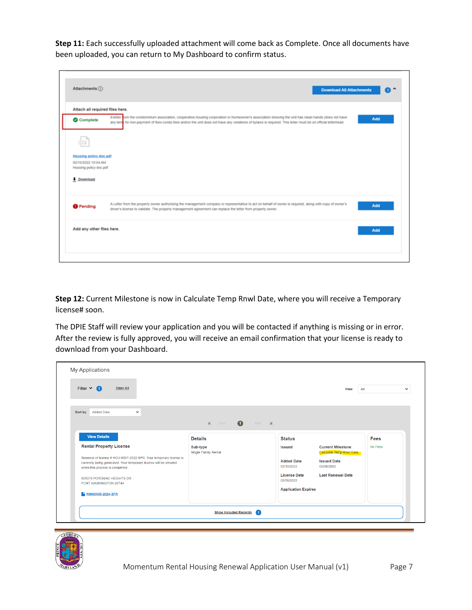**Step 11:** Each successfully uploaded attachment will come back as Complete. Once all documents have been uploaded, you can return to My Dashboard to confirm status.

| Attachments (i)                                                                     | <b>Download All Attachments</b>                                                                                                                                                                                                                                                                                      | Ω   |
|-------------------------------------------------------------------------------------|----------------------------------------------------------------------------------------------------------------------------------------------------------------------------------------------------------------------------------------------------------------------------------------------------------------------|-----|
| Attach all required files here.<br>Complete                                         | A letter nom the condominium association, cooperative housing corporation or homeowner's association showing the unit has clean hands (does not have<br>any liens for non-payment of fees condo fees and/or the unit does not have any violations of bylaws is required. This letter must be on official letterhead. | Add |
| Housing policy doc.pdf<br>02/10/2022 10:04 AM<br>Housing policy doc.pdf<br>Download |                                                                                                                                                                                                                                                                                                                      |     |
| <b>O</b> Pending                                                                    | A Letter from the property owner authorizing the management company or representative to act on behalf of owner is required, along with copy of owner's<br>driver's license to validate. The property management agreement can replace the letter from property owner.                                               | Add |
| Add any other files here.                                                           |                                                                                                                                                                                                                                                                                                                      | Add |

**Step 12:** Current Milestone is now in Calculate Temp Rnwl Date, where you will receive a Temporary license# soon.

The DPIE Staff will review your application and you will be contacted if anything is missing or in error. After the review is fully approved, you will receive an email confirmation that your license is ready to download from your Dashboard.

| Filter $\vee$ 1<br><b>Clear All</b>                                                                                                                                       |                                  |                                   | View                                                 | All         |
|---------------------------------------------------------------------------------------------------------------------------------------------------------------------------|----------------------------------|-----------------------------------|------------------------------------------------------|-------------|
| <b>Added Date</b><br>$\checkmark$<br>Sort by                                                                                                                              | Prev 1<br>$\mathsf{K}$           | Next >                            |                                                      |             |
| <b>View Details</b>                                                                                                                                                       | <b>Details</b>                   | <b>Status</b>                     |                                                      | <b>Fees</b> |
| <b>Rental Property License</b>                                                                                                                                            | Sub-type<br>Single Family Rental | <b>Issued</b>                     | <b>Current Milestone</b><br>Calculate Temp Rnwl Date | No Fees     |
| Renewal of license # HOU-0007-2022-SFR. Your temporary license is<br>currently being generated. Your temporary license will be emailed<br>when this process is completed. |                                  | <b>Added Date</b><br>02/10/2022   | <b>Issued Date</b><br>02/08/2022                     |             |
| 001379 POTOMAC HEIGHTS DR<br>FORT WASHINGTON 20744                                                                                                                        |                                  | <b>License Date</b><br>02/08/2022 | <b>Last Renewal Date</b>                             |             |
| RNW0009-2024-SFR                                                                                                                                                          |                                  | <b>Application Expires</b>        |                                                      |             |